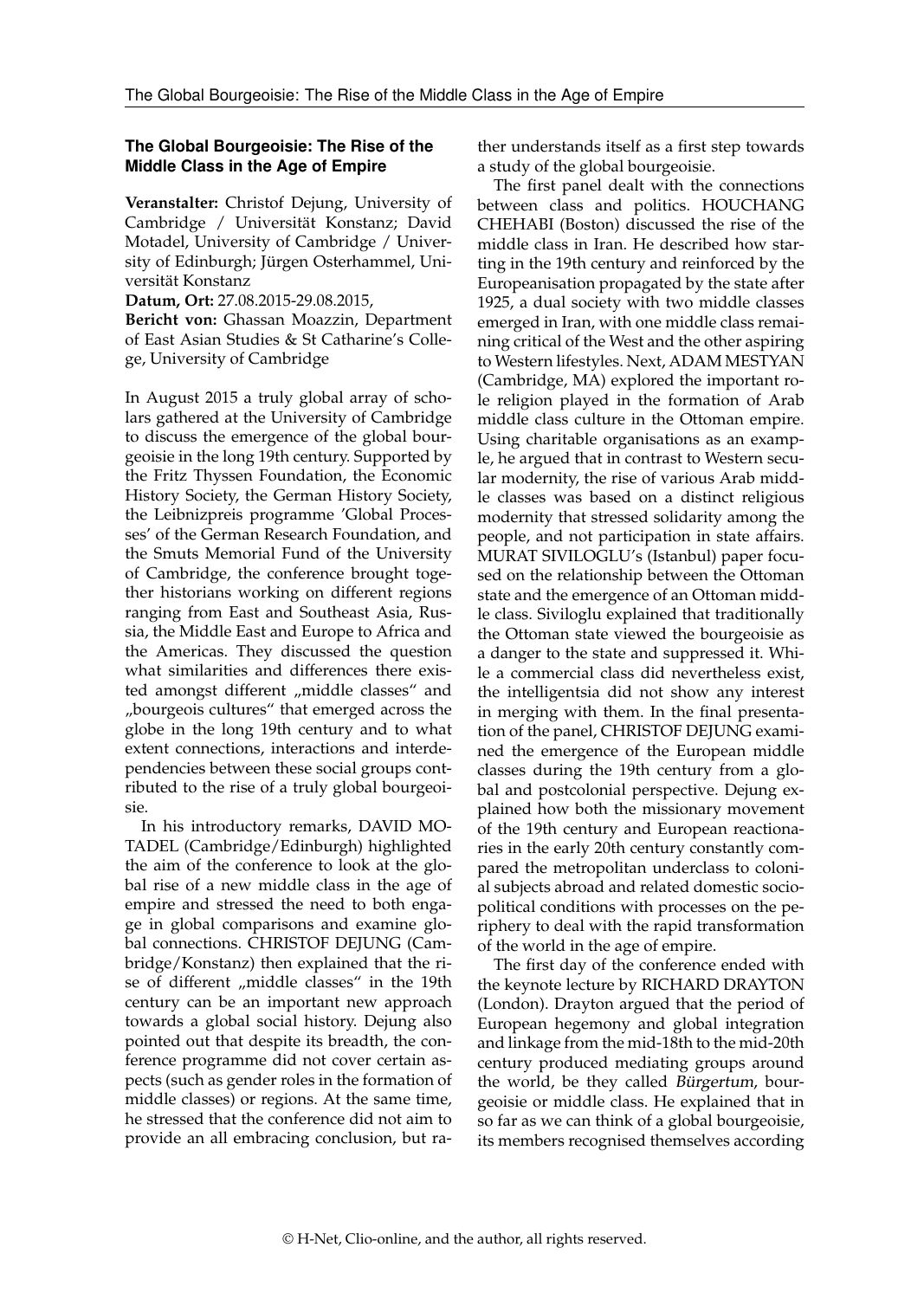## **The Global Bourgeoisie: The Rise of the Middle Class in the Age of Empire**

**Veranstalter:** Christof Dejung, University of Cambridge / Universität Konstanz; David Motadel, University of Cambridge / University of Edinburgh; Jürgen Osterhammel, Universität Konstanz

**Datum, Ort:** 27.08.2015-29.08.2015,

**Bericht von:** Ghassan Moazzin, Department of East Asian Studies & St Catharine's College, University of Cambridge

In August 2015 a truly global array of scholars gathered at the University of Cambridge to discuss the emergence of the global bourgeoisie in the long 19th century. Supported by the Fritz Thyssen Foundation, the Economic History Society, the German History Society, the Leibnizpreis programme 'Global Processes' of the German Research Foundation, and the Smuts Memorial Fund of the University of Cambridge, the conference brought together historians working on different regions ranging from East and Southeast Asia, Russia, the Middle East and Europe to Africa and the Americas. They discussed the question what similarities and differences there existed amongst different "middle classes" and "bourgeois cultures" that emerged across the globe in the long 19th century and to what extent connections, interactions and interdependencies between these social groups contributed to the rise of a truly global bourgeoisie.

In his introductory remarks, DAVID MO-TADEL (Cambridge/Edinburgh) highlighted the aim of the conference to look at the global rise of a new middle class in the age of empire and stressed the need to both engage in global comparisons and examine global connections. CHRISTOF DEJUNG (Cambridge/Konstanz) then explained that the rise of different "middle classes" in the 19th century can be an important new approach towards a global social history. Dejung also pointed out that despite its breadth, the conference programme did not cover certain aspects (such as gender roles in the formation of middle classes) or regions. At the same time, he stressed that the conference did not aim to provide an all embracing conclusion, but rather understands itself as a first step towards a study of the global bourgeoisie.

The first panel dealt with the connections between class and politics. HOUCHANG CHEHABI (Boston) discussed the rise of the middle class in Iran. He described how starting in the 19th century and reinforced by the Europeanisation propagated by the state after 1925, a dual society with two middle classes emerged in Iran, with one middle class remaining critical of the West and the other aspiring to Western lifestyles. Next, ADAM MESTYAN (Cambridge, MA) explored the important role religion played in the formation of Arab middle class culture in the Ottoman empire. Using charitable organisations as an example, he argued that in contrast to Western secular modernity, the rise of various Arab middle classes was based on a distinct religious modernity that stressed solidarity among the people, and not participation in state affairs. MURAT SIVILOGLU's (Istanbul) paper focused on the relationship between the Ottoman state and the emergence of an Ottoman middle class. Siviloglu explained that traditionally the Ottoman state viewed the bourgeoisie as a danger to the state and suppressed it. While a commercial class did nevertheless exist, the intelligentsia did not show any interest in merging with them. In the final presentation of the panel, CHRISTOF DEJUNG examined the emergence of the European middle classes during the 19th century from a global and postcolonial perspective. Dejung explained how both the missionary movement of the 19th century and European reactionaries in the early 20th century constantly compared the metropolitan underclass to colonial subjects abroad and related domestic sociopolitical conditions with processes on the periphery to deal with the rapid transformation of the world in the age of empire.

The first day of the conference ended with the keynote lecture by RICHARD DRAYTON (London). Drayton argued that the period of European hegemony and global integration and linkage from the mid-18th to the mid-20th century produced mediating groups around the world, be they called Bürgertum, bourgeoisie or middle class. He explained that in so far as we can think of a global bourgeoisie, its members recognised themselves according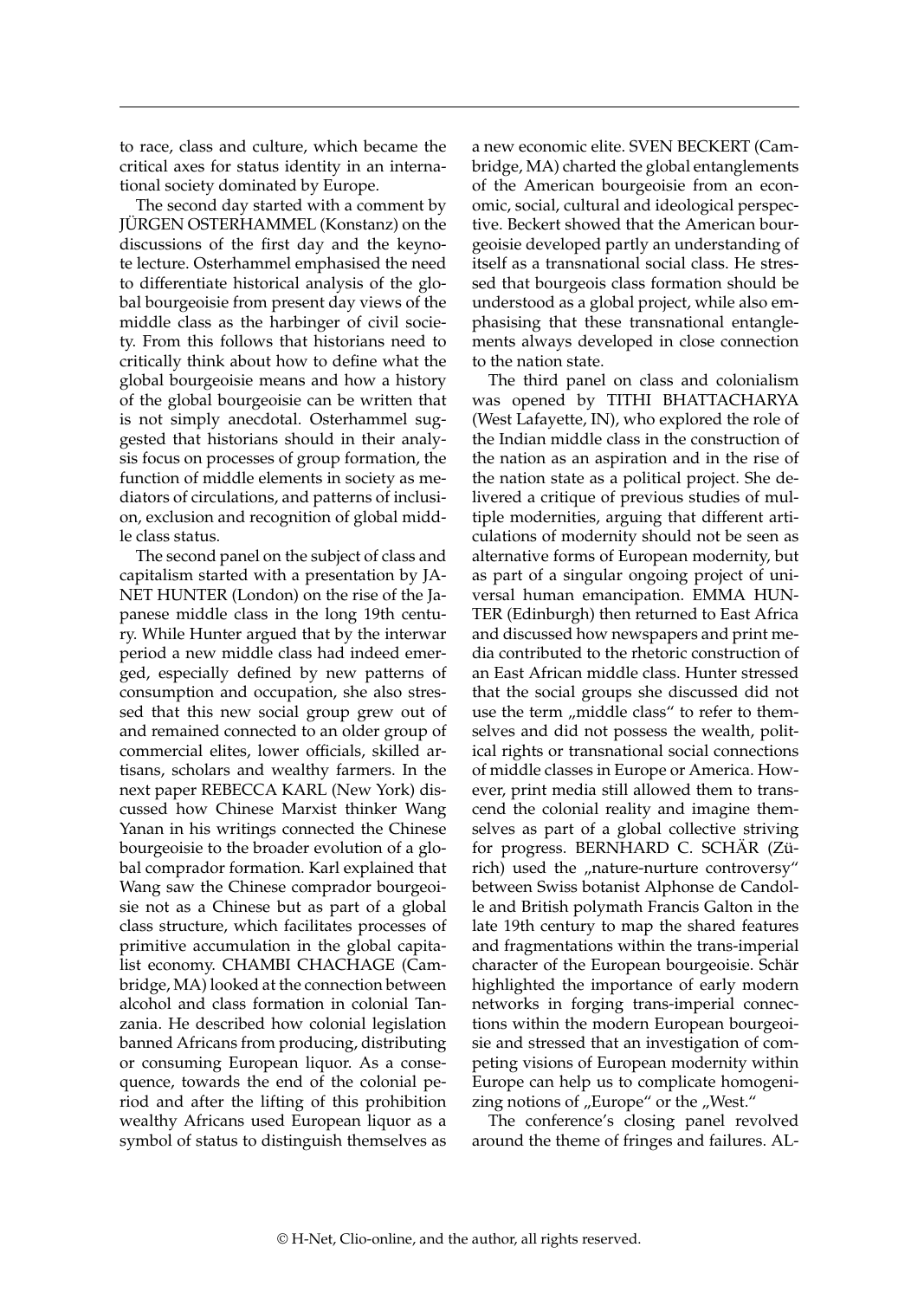to race, class and culture, which became the critical axes for status identity in an international society dominated by Europe.

The second day started with a comment by JÜRGEN OSTERHAMMEL (Konstanz) on the discussions of the first day and the keynote lecture. Osterhammel emphasised the need to differentiate historical analysis of the global bourgeoisie from present day views of the middle class as the harbinger of civil society. From this follows that historians need to critically think about how to define what the global bourgeoisie means and how a history of the global bourgeoisie can be written that is not simply anecdotal. Osterhammel suggested that historians should in their analysis focus on processes of group formation, the function of middle elements in society as mediators of circulations, and patterns of inclusion, exclusion and recognition of global middle class status.

The second panel on the subject of class and capitalism started with a presentation by JA-NET HUNTER (London) on the rise of the Japanese middle class in the long 19th century. While Hunter argued that by the interwar period a new middle class had indeed emerged, especially defined by new patterns of consumption and occupation, she also stressed that this new social group grew out of and remained connected to an older group of commercial elites, lower officials, skilled artisans, scholars and wealthy farmers. In the next paper REBECCA KARL (New York) discussed how Chinese Marxist thinker Wang Yanan in his writings connected the Chinese bourgeoisie to the broader evolution of a global comprador formation. Karl explained that Wang saw the Chinese comprador bourgeoisie not as a Chinese but as part of a global class structure, which facilitates processes of primitive accumulation in the global capitalist economy. CHAMBI CHACHAGE (Cambridge, MA) looked at the connection between alcohol and class formation in colonial Tanzania. He described how colonial legislation banned Africans from producing, distributing or consuming European liquor. As a consequence, towards the end of the colonial period and after the lifting of this prohibition wealthy Africans used European liquor as a symbol of status to distinguish themselves as

a new economic elite. SVEN BECKERT (Cambridge, MA) charted the global entanglements of the American bourgeoisie from an economic, social, cultural and ideological perspective. Beckert showed that the American bourgeoisie developed partly an understanding of itself as a transnational social class. He stressed that bourgeois class formation should be understood as a global project, while also emphasising that these transnational entanglements always developed in close connection to the nation state.

The third panel on class and colonialism was opened by TITHI BHATTACHARYA (West Lafayette, IN), who explored the role of the Indian middle class in the construction of the nation as an aspiration and in the rise of the nation state as a political project. She delivered a critique of previous studies of multiple modernities, arguing that different articulations of modernity should not be seen as alternative forms of European modernity, but as part of a singular ongoing project of universal human emancipation. EMMA HUN-TER (Edinburgh) then returned to East Africa and discussed how newspapers and print media contributed to the rhetoric construction of an East African middle class. Hunter stressed that the social groups she discussed did not use the term "middle class" to refer to themselves and did not possess the wealth, political rights or transnational social connections of middle classes in Europe or America. However, print media still allowed them to transcend the colonial reality and imagine themselves as part of a global collective striving for progress. BERNHARD C. SCHÄR (Zürich) used the "nature-nurture controversy" between Swiss botanist Alphonse de Candolle and British polymath Francis Galton in the late 19th century to map the shared features and fragmentations within the trans-imperial character of the European bourgeoisie. Schär highlighted the importance of early modern networks in forging trans-imperial connections within the modern European bourgeoisie and stressed that an investigation of competing visions of European modernity within Europe can help us to complicate homogenizing notions of "Europe" or the "West."

The conference's closing panel revolved around the theme of fringes and failures. AL-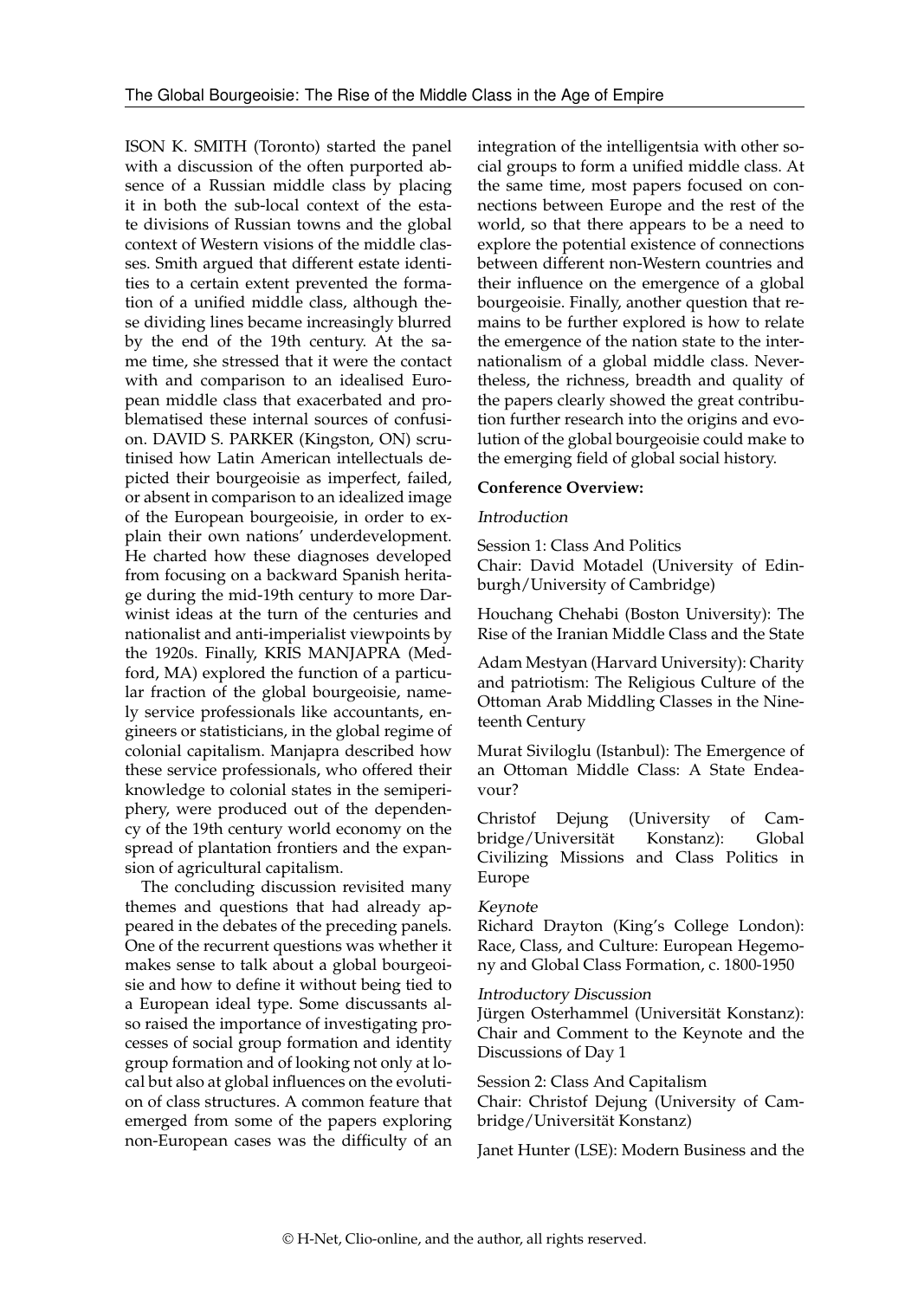ISON K. SMITH (Toronto) started the panel with a discussion of the often purported absence of a Russian middle class by placing it in both the sub-local context of the estate divisions of Russian towns and the global context of Western visions of the middle classes. Smith argued that different estate identities to a certain extent prevented the formation of a unified middle class, although these dividing lines became increasingly blurred by the end of the 19th century. At the same time, she stressed that it were the contact with and comparison to an idealised European middle class that exacerbated and problematised these internal sources of confusion. DAVID S. PARKER (Kingston, ON) scrutinised how Latin American intellectuals depicted their bourgeoisie as imperfect, failed, or absent in comparison to an idealized image of the European bourgeoisie, in order to explain their own nations' underdevelopment. He charted how these diagnoses developed from focusing on a backward Spanish heritage during the mid-19th century to more Darwinist ideas at the turn of the centuries and nationalist and anti-imperialist viewpoints by the 1920s. Finally, KRIS MANJAPRA (Medford, MA) explored the function of a particular fraction of the global bourgeoisie, namely service professionals like accountants, engineers or statisticians, in the global regime of colonial capitalism. Manjapra described how these service professionals, who offered their knowledge to colonial states in the semiperiphery, were produced out of the dependency of the 19th century world economy on the spread of plantation frontiers and the expansion of agricultural capitalism.

The concluding discussion revisited many themes and questions that had already appeared in the debates of the preceding panels. One of the recurrent questions was whether it makes sense to talk about a global bourgeoisie and how to define it without being tied to a European ideal type. Some discussants also raised the importance of investigating processes of social group formation and identity group formation and of looking not only at local but also at global influences on the evolution of class structures. A common feature that emerged from some of the papers exploring non-European cases was the difficulty of an

integration of the intelligentsia with other social groups to form a unified middle class. At the same time, most papers focused on connections between Europe and the rest of the world, so that there appears to be a need to explore the potential existence of connections between different non-Western countries and their influence on the emergence of a global bourgeoisie. Finally, another question that remains to be further explored is how to relate the emergence of the nation state to the internationalism of a global middle class. Nevertheless, the richness, breadth and quality of the papers clearly showed the great contribution further research into the origins and evolution of the global bourgeoisie could make to the emerging field of global social history.

### **Conference Overview:**

## Introduction

Session 1: Class And Politics Chair: David Motadel (University of Edinburgh/University of Cambridge)

Houchang Chehabi (Boston University): The Rise of the Iranian Middle Class and the State

Adam Mestyan (Harvard University): Charity and patriotism: The Religious Culture of the Ottoman Arab Middling Classes in the Nineteenth Century

Murat Siviloglu (Istanbul): The Emergence of an Ottoman Middle Class: A State Endeavour?

Christof Dejung (University of Cambridge/Universität Konstanz): Global Civilizing Missions and Class Politics in Europe

### Keynote

Richard Drayton (King's College London): Race, Class, and Culture: European Hegemony and Global Class Formation, c. 1800-1950

#### Introductory Discussion

Jürgen Osterhammel (Universität Konstanz): Chair and Comment to the Keynote and the Discussions of Day 1

Session 2: Class And Capitalism

Chair: Christof Dejung (University of Cambridge/Universität Konstanz)

Janet Hunter (LSE): Modern Business and the